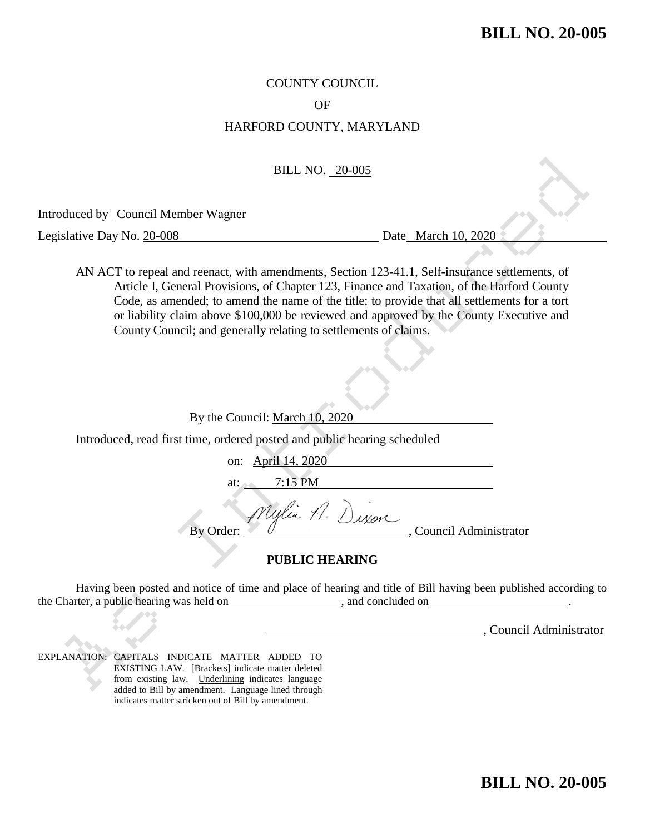## COUNTY COUNCIL

### OF

## HARFORD COUNTY, MARYLAND

#### BILL NO. 20-005

Introduced by Council Member Wagner

Legislative Day No. 20-008 Date March 10, 2020

AN ACT to repeal and reenact, with amendments, Section 123-41.1, Self-insurance settlements, of Article I, General Provisions, of Chapter 123, Finance and Taxation, of the Harford County Code, as amended; to amend the name of the title; to provide that all settlements for a tort or liability claim above \$100,000 be reviewed and approved by the County Executive and County Council; and generally relating to settlements of claims.

By the Council: March 10, 2020

Introduced, read first time, ordered posted and public hearing scheduled

on: April 14, 2020 7:15 PM Uglia 1.) By Order:  $\overline{\smash{\bigtriangledown}}$   $\emptyset$  . Council Administrator

### **PUBLIC HEARING**

Having been posted and notice of time and place of hearing and title of Bill having been published according to the Charter, a public hearing was held on \_\_\_\_\_\_\_\_\_\_\_\_\_\_\_\_\_\_\_\_\_\_, and concluded on

, Council Administrator

EXPLANATION: CAPITALS INDICATE MATTER ADDED TO EXISTING LAW. [Brackets] indicate matter deleted from existing law. Underlining indicates language added to Bill by amendment. Language lined through indicates matter stricken out of Bill by amendment.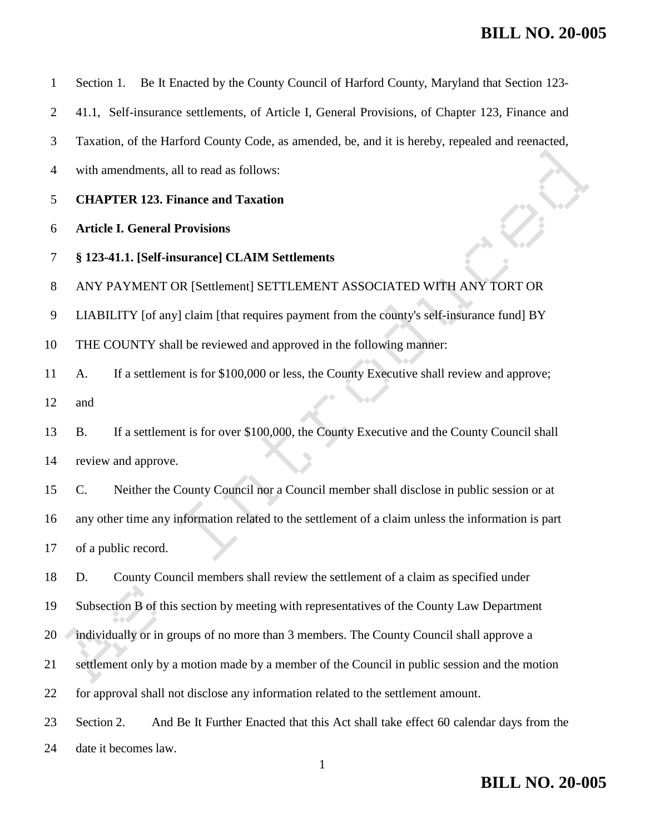|  |  |  |  |  |  | Section 1. Be It Enacted by the County Council of Harford County, Maryland that Section 123- |  |
|--|--|--|--|--|--|----------------------------------------------------------------------------------------------|--|
|--|--|--|--|--|--|----------------------------------------------------------------------------------------------|--|

41.1, Self-insurance settlements, of Article I, General Provisions, of Chapter 123, Finance and

Taxation, of the Harford County Code, as amended, be, and it is hereby, repealed and reenacted,

- with amendments, all to read as follows:
- **CHAPTER 123. Finance and Taxation**

### **Article I. General Provisions**

**§ 123-41.1. [Self-insurance] CLAIM Settlements**

ANY PAYMENT OR [Settlement] SETTLEMENT ASSOCIATED WITH ANY TORT OR

LIABILITY [of any] claim [that requires payment from the county's self-insurance fund] BY

THE COUNTY shall be reviewed and approved in the following manner:

A. If a settlement is for \$100,000 or less, the County Executive shall review and approve;

and

 B. If a settlement is for over \$100,000, the County Executive and the County Council shall review and approve.

 C. Neither the County Council nor a Council member shall disclose in public session or at any other time any information related to the settlement of a claim unless the information is part of a public record.

 D. County Council members shall review the settlement of a claim as specified under Subsection B of this section by meeting with representatives of the County Law Department 20 individually or in groups of no more than 3 members. The County Council shall approve a

settlement only by a motion made by a member of the Council in public session and the motion

for approval shall not disclose any information related to the settlement amount.

Section 2. And Be It Further Enacted that this Act shall take effect 60 calendar days from the

date it becomes law.